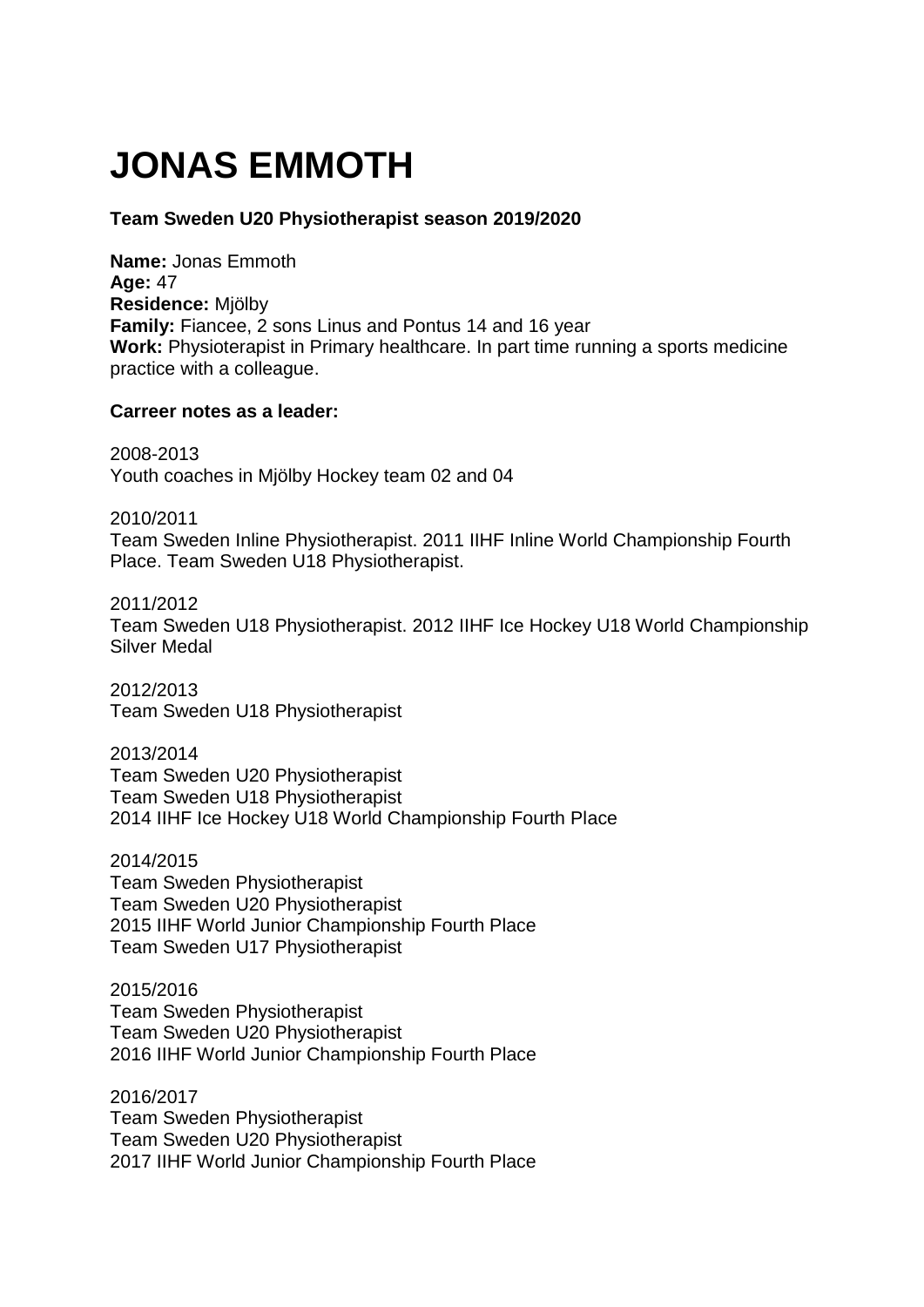# **JONAS EMMOTH**

## **Team Sweden U20 Physiotherapist season 2019/2020**

**Name:** Jonas Emmoth **Age:** 47 **Residence:** Mjölby **Family:** Fiancee, 2 sons Linus and Pontus 14 and 16 year **Work:** Physioterapist in Primary healthcare. In part time running a sports medicine practice with a colleague.

### **Carreer notes as a leader:**

2008-2013 Youth coaches in Mjölby Hockey team 02 and 04

2010/2011 Team Sweden Inline Physiotherapist. 2011 IIHF Inline World Championship Fourth Place. Team Sweden U18 Physiotherapist.

2011/2012 Team Sweden U18 Physiotherapist. 2012 IIHF Ice Hockey U18 World Championship Silver Medal

2012/2013 Team Sweden U18 Physiotherapist

2013/2014 Team Sweden U20 Physiotherapist Team Sweden U18 Physiotherapist 2014 IIHF Ice Hockey U18 World Championship Fourth Place

2014/2015 Team Sweden Physiotherapist Team Sweden U20 Physiotherapist 2015 IIHF World Junior Championship Fourth Place Team Sweden U17 Physiotherapist

2015/2016 Team Sweden Physiotherapist Team Sweden U20 Physiotherapist 2016 IIHF World Junior Championship Fourth Place

2016/2017 Team Sweden Physiotherapist Team Sweden U20 Physiotherapist 2017 IIHF World Junior Championship Fourth Place